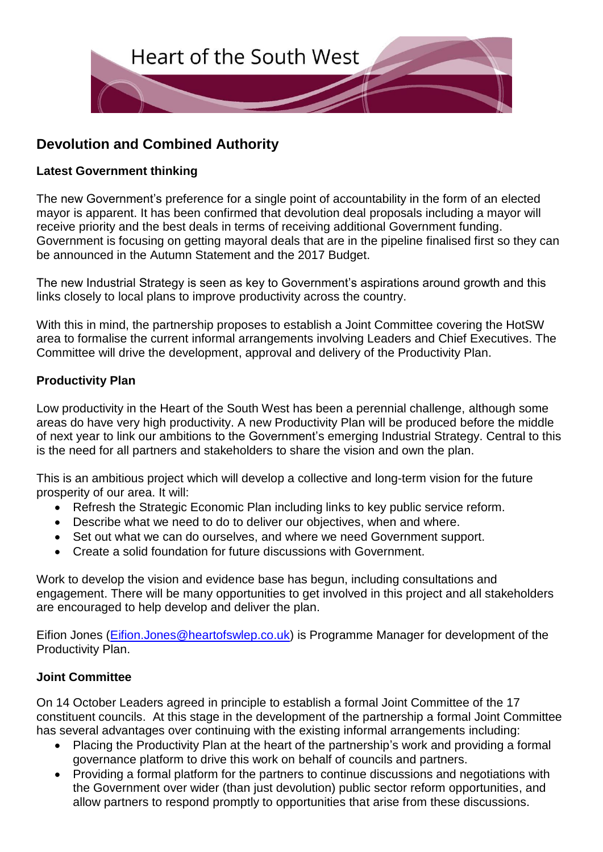

## **Devolution and Combined Authority**

## **Latest Government thinking**

The new Government's preference for a single point of accountability in the form of an elected mayor is apparent. It has been confirmed that devolution deal proposals including a mayor will receive priority and the best deals in terms of receiving additional Government funding. Government is focusing on getting mayoral deals that are in the pipeline finalised first so they can be announced in the Autumn Statement and the 2017 Budget.

The new Industrial Strategy is seen as key to Government's aspirations around growth and this links closely to local plans to improve productivity across the country.

With this in mind, the partnership proposes to establish a Joint Committee covering the HotSW area to formalise the current informal arrangements involving Leaders and Chief Executives. The Committee will drive the development, approval and delivery of the Productivity Plan.

## **Productivity Plan**

Low productivity in the Heart of the South West has been a perennial challenge, although some areas do have very high productivity. A new Productivity Plan will be produced before the middle of next year to link our ambitions to the Government's emerging Industrial Strategy. Central to this is the need for all partners and stakeholders to share the vision and own the plan.

This is an ambitious project which will develop a collective and long-term vision for the future prosperity of our area. It will:

- Refresh the Strategic Economic Plan including links to key public service reform.
- Describe what we need to do to deliver our objectives, when and where.
- Set out what we can do ourselves, and where we need Government support.
- Create a solid foundation for future discussions with Government.

Work to develop the vision and evidence base has begun, including consultations and engagement. There will be many opportunities to get involved in this project and all stakeholders are encouraged to help develop and deliver the plan.

Eifion Jones [\(Eifion.Jones@heartofswlep.co.uk\)](mailto:Eifion.Jones@heartofswlep.co.uk) is Programme Manager for development of the Productivity Plan.

## **Joint Committee**

On 14 October Leaders agreed in principle to establish a formal Joint Committee of the 17 constituent councils. At this stage in the development of the partnership a formal Joint Committee has several advantages over continuing with the existing informal arrangements including:

- Placing the Productivity Plan at the heart of the partnership's work and providing a formal governance platform to drive this work on behalf of councils and partners.
- Providing a formal platform for the partners to continue discussions and negotiations with the Government over wider (than just devolution) public sector reform opportunities, and allow partners to respond promptly to opportunities that arise from these discussions.